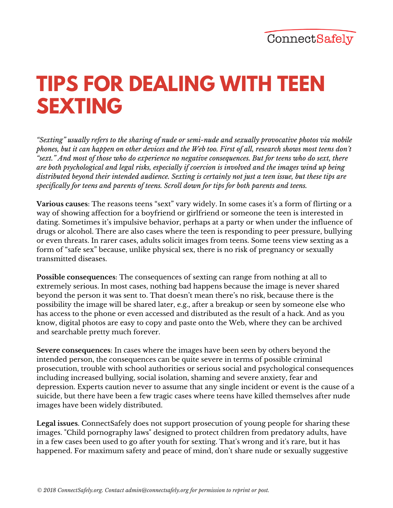## **TIPS FOR DEALING WITH TEEN SEXTING**

*"Sexting" usually refers to the sharing of nude or semi-nude and sexually provocative photos via mobile* phones, but it can happen on other devices and the Web too. First of all, research shows most teens don't "sext." And most of those who do experience no negative consequences. But for teens who do sext, there *are both psychological and legal risks, especially if coercion is involved and the images wind up being* distributed beyond their intended audience. Sexting is certainly not just a teen issue, but these tips are *specifically for teens and parents of teens. Scroll down for tips for both parents and teens.*

**Various causes**: The reasons teens "sext" vary widely. In some cases it's a form of flirting or a way of showing affection for a boyfriend or girlfriend or someone the teen is interested in dating. Sometimes it's impulsive behavior, perhaps at a party or when under the influence of drugs or alcohol. There are also cases where the teen is responding to peer pressure, bullying or even threats. In rarer cases, adults solicit images from teens. Some teens view sexting as a form of "safe sex" because, unlike physical sex, there is no risk of pregnancy or sexually transmitted diseases.

**Possible consequences**: The consequences of sexting can range from nothing at all to extremely serious. In most cases, nothing bad happens because the image is never shared beyond the person it was sent to. That doesn't mean there's no risk, because there is the possibility the image will be shared later, e.g., after a breakup or seen by someone else who has access to the phone or even accessed and distributed as the result of a hack. And as you know, digital photos are easy to copy and paste onto the Web, where they can be archived and searchable pretty much forever.

**Severe consequences**: In cases where the images have been seen by others beyond the intended person, the consequences can be quite severe in terms of possible criminal prosecution, trouble with school authorities or serious social and psychological consequences including increased bullying, social isolation, shaming and severe anxiety, fear and depression. Experts caution never to assume that any single incident or event is the cause of a suicide, but there have been a few tragic cases where teens have killed themselves after nude images have been widely distributed.

**Legal issues**. ConnectSafely does not support prosecution of young people for sharing these images. "Child pornography laws" designed to protect children from predatory adults, have in a few cases been used to go after youth for sexting. That's wrong and it's rare, but it has happened. For maximum safety and peace of mind, don't share nude or sexually suggestive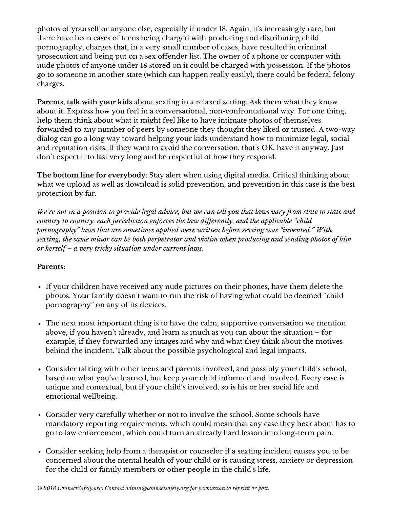photos of yourself or anyone else, especially if under 18. Again, it's increasingly rare, but there have been cases of teens being charged with producing and distributing child pornography, charges that, in a very small number of cases, have resulted in criminal prosecution and being put on a sex offender list. The owner of a phone or computer with nude photos of anyone under 18 stored on it could be charged with possession. If the photos go to someone in another state (which can happen really easily), there could be federal felony charges.

**Parents, talk with your kids** about sexting in a relaxed setting. Ask them what they know about it. Express how you feel in a conversational, non-confrontational way. For one thing, help them think about what it might feel like to have intimate photos of themselves forwarded to any number of peers by someone they thought they liked or trusted. A two-way dialog can go a long way toward helping your kids understand how to minimize legal, social and reputation risks. If they want to avoid the conversation, that's OK, have it anyway. Just don't expect it to last very long and be respectful of how they respond.

**The bottom line for everybody**: Stay alert when using digital media. Critical thinking about what we upload as well as download is solid prevention, and prevention in this case is the best protection by far.

We're not in a position to provide legal advice, but we can tell you that laws vary from state to state and *country to country, each jurisdiction enforces the law dif erently, and the applicable "child pornography" laws that are sometimes applied were written before sexting was "invented." With sexting, the same minor can be both perpetrator and victim when producing and sending photos of him or herself – a very tricky situation under current laws.*

## **Parents:**

- If your children have received any nude pictures on their phones, have them delete the photos. Your family doesn't want to run the risk of having what could be deemed "child pornography" on any of its devices.
- The next most important thing is to have the calm, supportive conversation we mention above, if you haven't already, and learn as much as you can about the situation – for example, if they forwarded any images and why and what they think about the motives behind the incident. Talk about the possible psychological and legal impacts.
- Consider talking with other teens and parents involved, and possibly your child's school, based on what you've learned, but keep your child informed and involved. Every case is unique and contextual, but if your child's involved, so is his or her social life and emotional wellbeing.
- Consider very carefully whether or not to involve the school. Some schools have mandatory reporting requirements, which could mean that any case they hear about has to go to law enforcement, which could turn an already hard lesson into long-term pain.
- Consider seeking help from a therapist or counselor if a sexting incident causes you to be concerned about the mental health of your child or is causing stress, anxiety or depression for the child or family members or other people in the child's life.